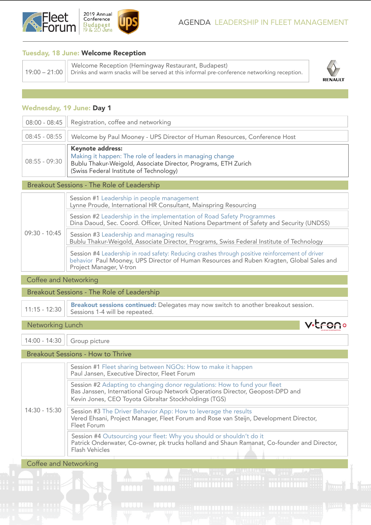

## Tuesday, 18 June: Welcome Reception

| I Welcome Reception (Hemingway Restaurant, Budapest)<br>$\pm$ 19:00 – 21:00 $  $ Drinks and warm snacks will be served at this informal pre-conference networking reception. |           |
|------------------------------------------------------------------------------------------------------------------------------------------------------------------------------|-----------|
|                                                                                                                                                                              | <b>RE</b> |



v.tron.

## Wednesday, 19 June: Day 1

| 08:00 - 08:45   Registration, coffee and networking                                                                                                                                                                          |
|------------------------------------------------------------------------------------------------------------------------------------------------------------------------------------------------------------------------------|
| 08:45 - 08:55    Welcome by Paul Mooney - UPS Director of Human Resources, Conference Host                                                                                                                                   |
| Keynote address:<br>Making it happen: The role of leaders in managing change<br>$\vert$ 08:55 - 09:30 $\vert\vert$ Bublu Thakur-Weigold, Associate Director, Programs, ETH Zurich<br>(Swiss Federal Institute of Technology) |

#### Breakout Sessions - The Role of Leadership

| 09:30 - 10:45 | Session #1 Leadership in people management<br>Lynne Proude, International HR Consultant, Mainspring Resourcing                                                                                                          |
|---------------|-------------------------------------------------------------------------------------------------------------------------------------------------------------------------------------------------------------------------|
|               | Session #2 Leadership in the implementation of Road Safety Programmes<br>Dina Daoud, Sec. Coord. Officer, United Nations Department of Safety and Security (UNDSS)                                                      |
|               | Session #3 Leadership and managing results<br>Bublu Thakur-Weigold, Associate Director, Programs, Swiss Federal Institute of Technology                                                                                 |
|               | Session #4 Leadership in road safety: Reducing crashes through positive reinforcement of driver<br>behavior Paul Mooney, UPS Director of Human Resources and Ruben Kragten, Global Sales and<br>Project Manager, V-tron |

### Coffee and Networking

Breakout Sessions - The Role of Leadership

11:15 - 12:30 **Breakout sessions continued:** Delegates may now switch to another breakout session. Sessions 1-4 will be repeated.

Networking Lunch

14:00 - 14:30 | Group picture

Breakout Sessions - How to Thrive

| 14:30 - 15:30 | Session #1 Fleet sharing between NGOs: How to make it happen<br>Paul Jansen, Executive Director, Fleet Forum                                                                                                        |
|---------------|---------------------------------------------------------------------------------------------------------------------------------------------------------------------------------------------------------------------|
|               | Session #2 Adapting to changing donor regulations: How to fund your fleet<br>Bas Janssen, International Group Network Operations Director, Geopost-DPD and<br>Kevin Jones, CEO Toyota Gibraltar Stockholdings (TGS) |
|               | Session #3 The Driver Behavior App: How to leverage the results<br>Vered Ehsani, Project Manager, Fleet Forum and Rose van Steijn, Development Director,<br>Fleet Forum                                             |
|               | Session #4 Outsourcing your fleet: Why you should or shouldn't do it<br>Patrick Onderwater, Co-owner, pk trucks holland and Shaun Ramanat, Co-founder and Director,<br>Flash Vehicles                               |

 $\mathbf{A}$ 

 $\overline{a}$ 

Coffee and Networking